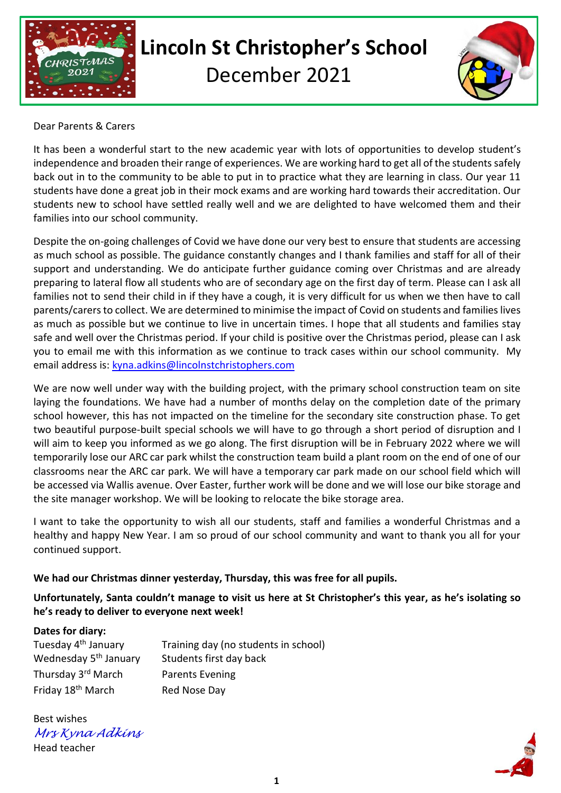

# **Lincoln St Christopher's School**

December 2021



#### Dear Parents & Carers

It has been a wonderful start to the new academic year with lots of opportunities to develop student's independence and broaden their range of experiences. We are working hard to get all of the students safely back out in to the community to be able to put in to practice what they are learning in class. Our year 11 students have done a great job in their mock exams and are working hard towards their accreditation. Our students new to school have settled really well and we are delighted to have welcomed them and their families into our school community.

Despite the on-going challenges of Covid we have done our very best to ensure that students are accessing as much school as possible. The guidance constantly changes and I thank families and staff for all of their support and understanding. We do anticipate further guidance coming over Christmas and are already preparing to lateral flow all students who are of secondary age on the first day of term. Please can I ask all families not to send their child in if they have a cough, it is very difficult for us when we then have to call parents/carers to collect. We are determined to minimise the impact of Covid on students and families lives as much as possible but we continue to live in uncertain times. I hope that all students and families stay safe and well over the Christmas period. If your child is positive over the Christmas period, please can I ask you to email me with this information as we continue to track cases within our school community. My email address is: [kyna.adkins@lincolnstchristophers.com](mailto:kyna.adkins@lincolnstchristophers.com)

We are now well under way with the building project, with the primary school construction team on site laying the foundations. We have had a number of months delay on the completion date of the primary school however, this has not impacted on the timeline for the secondary site construction phase. To get two beautiful purpose-built special schools we will have to go through a short period of disruption and I will aim to keep you informed as we go along. The first disruption will be in February 2022 where we will temporarily lose our ARC car park whilst the construction team build a plant room on the end of one of our classrooms near the ARC car park. We will have a temporary car park made on our school field which will be accessed via Wallis avenue. Over Easter, further work will be done and we will lose our bike storage and the site manager workshop. We will be looking to relocate the bike storage area.

I want to take the opportunity to wish all our students, staff and families a wonderful Christmas and a healthy and happy New Year. I am so proud of our school community and want to thank you all for your continued support.

### **We had our Christmas dinner yesterday, Thursday, this was free for all pupils.**

**Unfortunately, Santa couldn't manage to visit us here at St Christopher's this year, as he's isolating so he's ready to deliver to everyone next week!**

#### **Dates for diary:**

| Tuesday 4 <sup>th</sup> January   | Training day (no students in school) |
|-----------------------------------|--------------------------------------|
| Wednesday 5 <sup>th</sup> January | Students first day back              |
| Thursday 3 <sup>rd</sup> March    | <b>Parents Evening</b>               |
| Friday 18 <sup>th</sup> March     | Red Nose Day                         |

Best wishes *Mrs Kyna Adkins* Head teacher

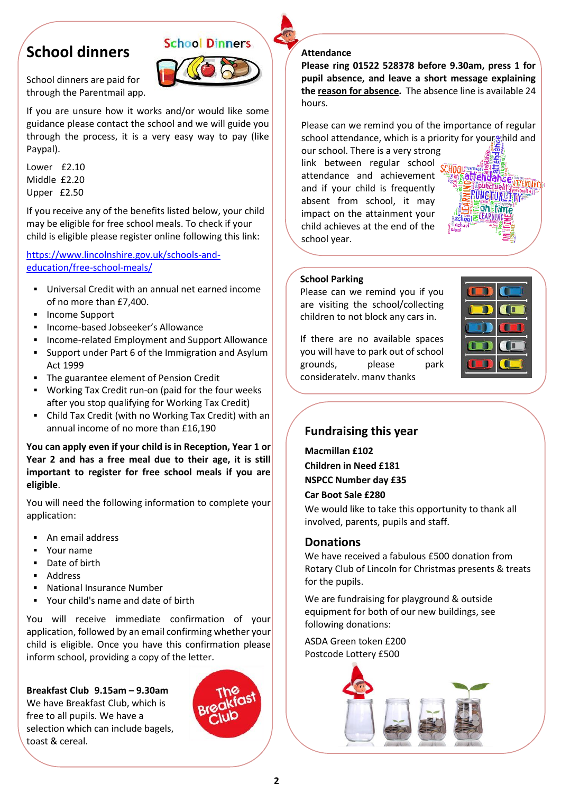## **School dinners**



School dinners are paid for through the Parentmail app.

If you are unsure how it works and/or would like some guidance please contact the school and we will guide you through the process, it is a very easy way to pay (like Paypal).

Lower £2.10 Middle £2.20 Upper £2.50

If you receive any of the benefits listed below, your child may be eligible for free school meals. To check if your child is eligible please register online following this link:

[https://www.lincolnshire.gov.uk/schools-and](https://www.lincolnshire.gov.uk/schools-and-education/free-school-meals/)[education/free-school-meals/](https://www.lincolnshire.gov.uk/schools-and-education/free-school-meals/)

- Universal Credit with an annual net earned income of no more than £7,400.
- Income Support
- Income-based Jobseeker's Allowance
- Income-related Employment and Support Allowance
- Support under Part 6 of the Immigration and Asylum Act 1999
- The guarantee element of Pension Credit
- Working Tax Credit run-on (paid for the four weeks after you stop qualifying for Working Tax Credit)
- Child Tax Credit (with no Working Tax Credit) with an annual income of no more than £16,190

#### **You can apply even if your child is in Reception, Year 1 or Year 2 and has a free meal due to their age, it is still important to register for free school meals if you are eligible**.

You will need the following information to complete your application:

- An email address
- Your name
- Date of birth
- Address
- **National Insurance Number**
- Your child's name and date of birth

You will receive immediate confirmation of your application, followed by an email confirming whether your child is eligible. Once you have this confirmation please inform school, providing a copy of the letter.

**Breakfast Club 9.15am – 9.30am** We have Breakfast Club, which is free to all pupils. We have a selection which can include bagels, toast & cereal.



#### **Attendance**

**Please ring 01522 528378 before 9.30am, press 1 for pupil absence, and leave a short message explaining the reason for absence.** The absence line is available 24 hours.

Please can we remind you of the importance of regular school attendance, which is a priority for your thild and

our school. There is a very strong link between regular school attendance and achievement and if your child is frequently absent from school, it may impact on the attainment your child achieves at the end of the school year.



#### **School Parking**

Please can we remind you if you are visiting the school/collecting children to not block any cars in.

If there are no available spaces you will have to park out of school grounds, please park considerately, many thanks



## **Fundraising this year**

**Macmillan £102 Children in Need £181 NSPCC Number day £35 Car Boot Sale £280**

We would like to take this opportunity to thank all involved, parents, pupils and staff.

### **Donations**

We have received a fabulous £500 donation from Rotary Club of Lincoln for Christmas presents & treats for the pupils.

We are fundraising for playground & outside equipment for both of our new buildings, see following donations:

ASDA Green token £200 Postcode Lottery £500

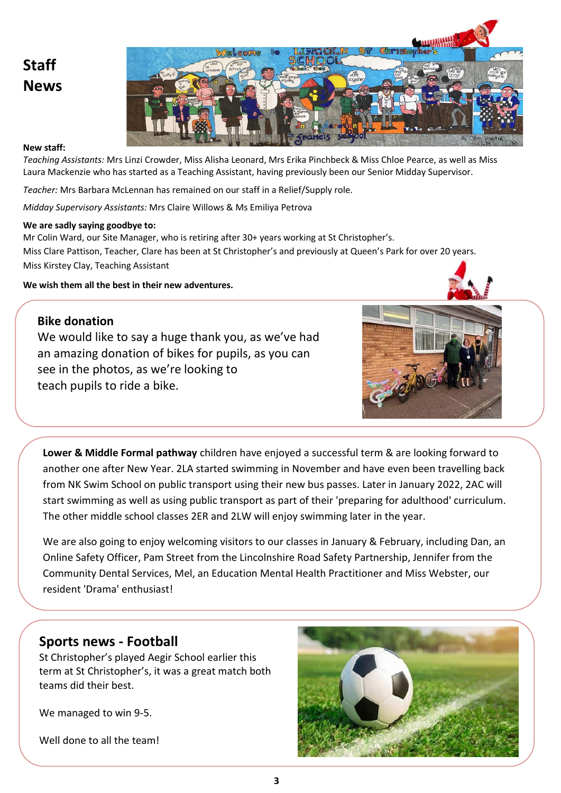# **Staff News**



#### **New staff:**

*Teaching Assistants:* Mrs Linzi Crowder, Miss Alisha Leonard, Mrs Erika Pinchbeck & Miss Chloe Pearce, as well as Miss Laura Mackenzie who has started as a Teaching Assistant, having previously been our Senior Midday Supervisor.

*Teacher:* Mrs Barbara McLennan has remained on our staff in a Relief/Supply role.

*Midday Supervisory Assistants:* Mrs Claire Willows & Ms Emiliya Petrova

#### **We are sadly saying goodbye to:**

Mr Colin Ward, our Site Manager, who is retiring after 30+ years working at St Christopher's. Miss Clare Pattison, Teacher, Clare has been at St Christopher's and previously at Queen's Park for over 20 years. Miss Kirstey Clay, Teaching Assistant

**We wish them all the best in their new adventures.**



## **Bike donation**

We would like to say a huge thank you, as we've had an amazing donation of bikes for pupils, as you can see in the photos, as we're looking to teach pupils to ride a bike.



**Lower & Middle Formal pathway** children have enjoyed a successful term & are looking forward to another one after New Year. 2LA started swimming in November and have even been travelling back from NK Swim School on public transport using their new bus passes. Later in January 2022, 2AC will start swimming as well as using public transport as part of their 'preparing for adulthood' curriculum. The other middle school classes 2ER and 2LW will enjoy swimming later in the year.

We are also going to enjoy welcoming visitors to our classes in January & February, including Dan, an Online Safety Officer, Pam Street from the Lincolnshire Road Safety Partnership, Jennifer from the Community Dental Services, Mel, an Education Mental Health Practitioner and Miss Webster, our resident 'Drama' enthusiast!

## **Sports news - Football**

St Christopher's played Aegir School earlier this term at St Christopher's, it was a great match both teams did their best.

We managed to win 9-5.

Well done to all the team!